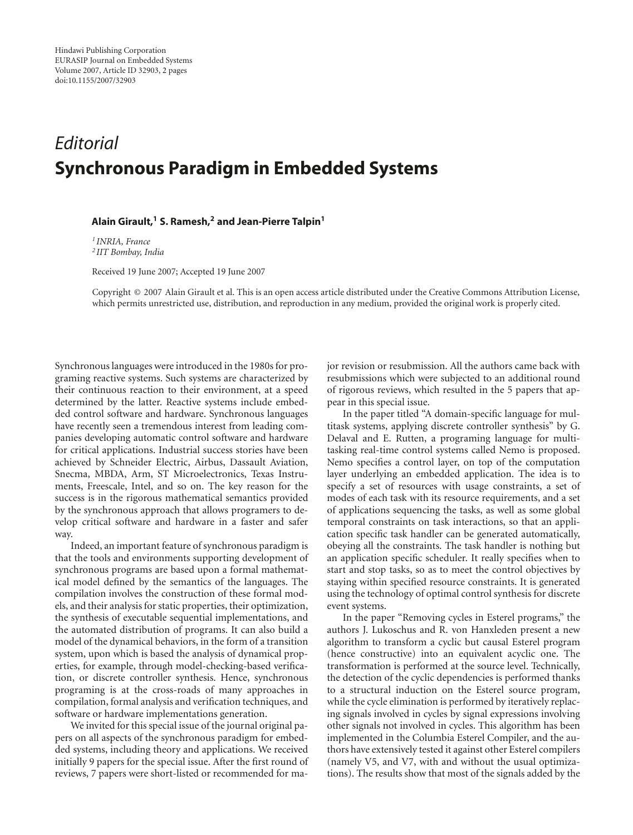## *Editorial* **Synchronous Paradigm in Embedded Systems**

## **Alain Girault,1 S. Ramesh,2 and Jean-Pierre Talpin1**

*<sup>1</sup> INRIA, France <sup>2</sup> IIT Bombay, India*

Received 19 June 2007; Accepted 19 June 2007

Copyright © 2007 Alain Girault et al. This is an open access article distributed under the Creative Commons Attribution License, which permits unrestricted use, distribution, and reproduction in any medium, provided the original work is properly cited.

Synchronous languages were introduced in the 1980s for programing reactive systems. Such systems are characterized by their continuous reaction to their environment, at a speed determined by the latter. Reactive systems include embedded control software and hardware. Synchronous languages have recently seen a tremendous interest from leading companies developing automatic control software and hardware for critical applications. Industrial success stories have been achieved by Schneider Electric, Airbus, Dassault Aviation, Snecma, MBDA, Arm, ST Microelectronics, Texas Instruments, Freescale, Intel, and so on. The key reason for the success is in the rigorous mathematical semantics provided by the synchronous approach that allows programers to develop critical software and hardware in a faster and safer way.

Indeed, an important feature of synchronous paradigm is that the tools and environments supporting development of synchronous programs are based upon a formal mathematical model defined by the semantics of the languages. The compilation involves the construction of these formal models, and their analysis for static properties, their optimization, the synthesis of executable sequential implementations, and the automated distribution of programs. It can also build a model of the dynamical behaviors, in the form of a transition system, upon which is based the analysis of dynamical properties, for example, through model-checking-based verification, or discrete controller synthesis. Hence, synchronous programing is at the cross-roads of many approaches in compilation, formal analysis and verification techniques, and software or hardware implementations generation.

We invited for this special issue of the journal original papers on all aspects of the synchronous paradigm for embedded systems, including theory and applications. We received initially 9 papers for the special issue. After the first round of reviews, 7 papers were short-listed or recommended for major revision or resubmission. All the authors came back with resubmissions which were subjected to an additional round of rigorous reviews, which resulted in the 5 papers that appear in this special issue.

In the paper titled "A domain-specific language for multitask systems, applying discrete controller synthesis" by G. Delaval and E. Rutten, a programing language for multitasking real-time control systems called Nemo is proposed. Nemo specifies a control layer, on top of the computation layer underlying an embedded application. The idea is to specify a set of resources with usage constraints, a set of modes of each task with its resource requirements, and a set of applications sequencing the tasks, as well as some global temporal constraints on task interactions, so that an application specific task handler can be generated automatically, obeying all the constraints. The task handler is nothing but an application specific scheduler. It really specifies when to start and stop tasks, so as to meet the control objectives by staying within specified resource constraints. It is generated using the technology of optimal control synthesis for discrete event systems.

In the paper "Removing cycles in Esterel programs," the authors J. Lukoschus and R. von Hanxleden present a new algorithm to transform a cyclic but causal Esterel program (hence constructive) into an equivalent acyclic one. The transformation is performed at the source level. Technically, the detection of the cyclic dependencies is performed thanks to a structural induction on the Esterel source program, while the cycle elimination is performed by iteratively replacing signals involved in cycles by signal expressions involving other signals not involved in cycles. This algorithm has been implemented in the Columbia Esterel Compiler, and the authors have extensively tested it against other Esterel compilers (namely V5, and V7, with and without the usual optimizations). The results show that most of the signals added by the